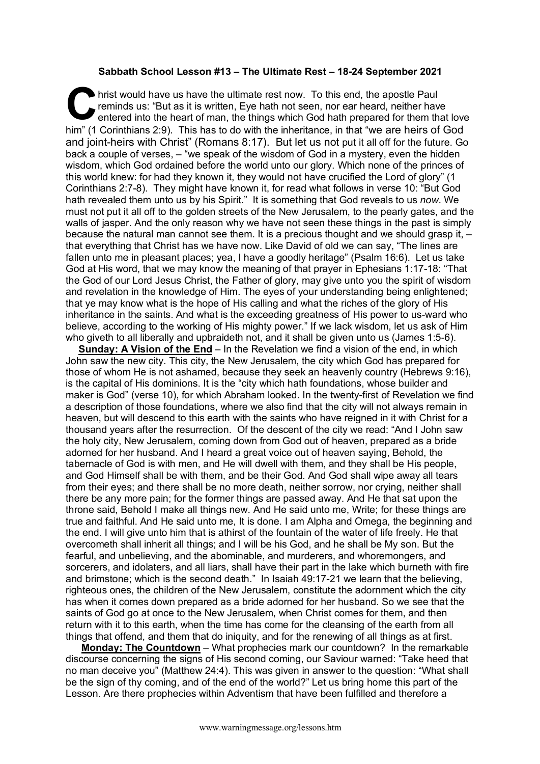## **Sabbath School Lesson #13 – The Ultimate Rest – 18-24 September 2021**

hrist would have us have the ultimate rest now. To this end, the apostle Paul reminds us: "But as it is written, Eye hath not seen, nor ear heard, neither have entered into the heart of man, the things which God hath prepared for them that love him" (1 Corinthians 2:9). This has to do with the inheritance, in that "we are heirs of God and joint-heirs with Christ" (Romans 8:17). But let us not put it all off for the future. Go back a couple of verses, – "we speak of the wisdom of God in a mystery, even the hidden wisdom, which God ordained before the world unto our glory. Which none of the princes of this world knew: for had they known it, they would not have crucified the Lord of glory" (1 Corinthians 2:7-8). They might have known it, for read what follows in verse 10: "But God hath revealed them unto us by his Spirit." It is something that God reveals to us *now*. We must not put it all off to the golden streets of the New Jerusalem, to the pearly gates, and the walls of jasper. And the only reason why we have not seen these things in the past is simply because the natural man cannot see them. It is a precious thought and we should grasp it, – that everything that Christ has we have now. Like David of old we can say, "The lines are fallen unto me in pleasant places; yea, I have a goodly heritage" (Psalm 16:6). Let us take God at His word, that we may know the meaning of that prayer in Ephesians 1:17-18: "That the God of our Lord Jesus Christ, the Father of glory, may give unto you the spirit of wisdom and revelation in the knowledge of Him. The eyes of your understanding being enlightened; that ye may know what is the hope of His calling and what the riches of the glory of His inheritance in the saints. And what is the exceeding greatness of His power to us-ward who believe, according to the working of His mighty power." If we lack wisdom, let us ask of Him who giveth to all liberally and upbraideth not, and it shall be given unto us (James 1:5-6). C hris

**Sunday: A Vision of the End** – In the Revelation we find a vision of the end, in which John saw the new city. This city, the New Jerusalem, the city which God has prepared for those of whom He is not ashamed, because they seek an heavenly country (Hebrews 9:16), is the capital of His dominions. It is the "city which hath foundations, whose builder and maker is God" (verse 10), for which Abraham looked. In the twenty-first of Revelation we find a description of those foundations, where we also find that the city will not always remain in heaven, but will descend to this earth with the saints who have reigned in it with Christ for a thousand years after the resurrection. Of the descent of the city we read: "And I John saw the holy city, New Jerusalem, coming down from God out of heaven, prepared as a bride adorned for her husband. And I heard a great voice out of heaven saying, Behold, the tabernacle of God is with men, and He will dwell with them, and they shall be His people, and God Himself shall be with them, and be their God. And God shall wipe away all tears from their eyes; and there shall be no more death, neither sorrow, nor crying, neither shall there be any more pain; for the former things are passed away. And He that sat upon the throne said, Behold I make all things new. And He said unto me, Write; for these things are true and faithful. And He said unto me, It is done. I am Alpha and Omega, the beginning and the end. I will give unto him that is athirst of the fountain of the water of life freely. He that overcometh shall inherit all things; and I will be his God, and he shall be My son. But the fearful, and unbelieving, and the abominable, and murderers, and whoremongers, and sorcerers, and idolaters, and all liars, shall have their part in the lake which burneth with fire and brimstone; which is the second death." In Isaiah 49:17-21 we learn that the believing, righteous ones, the children of the New Jerusalem, constitute the adornment which the city has when it comes down prepared as a bride adorned for her husband. So we see that the saints of God go at once to the New Jerusalem, when Christ comes for them, and then return with it to this earth, when the time has come for the cleansing of the earth from all things that offend, and them that do iniquity, and for the renewing of all things as at first.

**Monday: The Countdown** – What prophecies mark our countdown? In the remarkable discourse concerning the signs of His second coming, our Saviour warned: "Take heed that no man deceive you" (Matthew 24:4). This was given in answer to the question: "What shall be the sign of thy coming, and of the end of the world?" Let us bring home this part of the Lesson. Are there prophecies within Adventism that have been fulfilled and therefore a